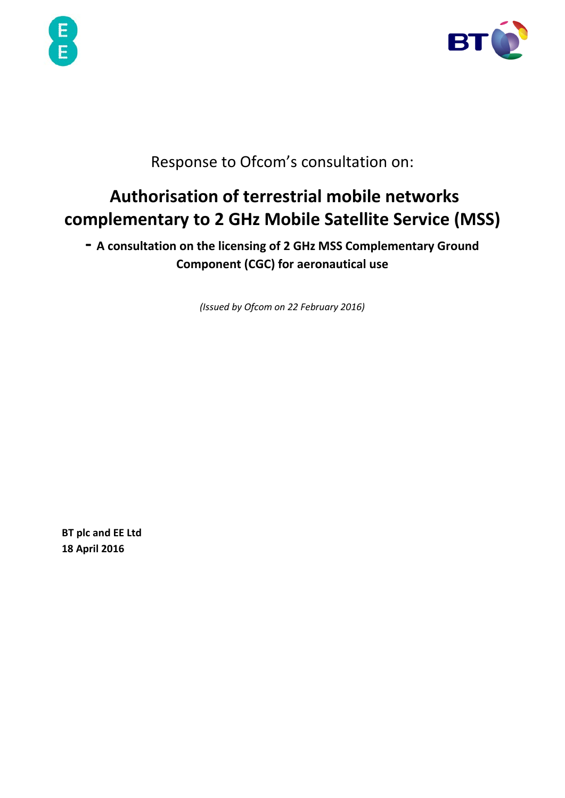



## Response to Ofcom's consultation on:

# **Authorisation of terrestrial mobile networks complementary to 2 GHz Mobile Satellite Service (MSS)**

**- A consultation on the licensing of 2 GHz MSS Complementary Ground Component (CGC) for aeronautical use**

*(Issued by Ofcom on 22 February 2016)*

**BT plc and EE Ltd 18 April 2016**